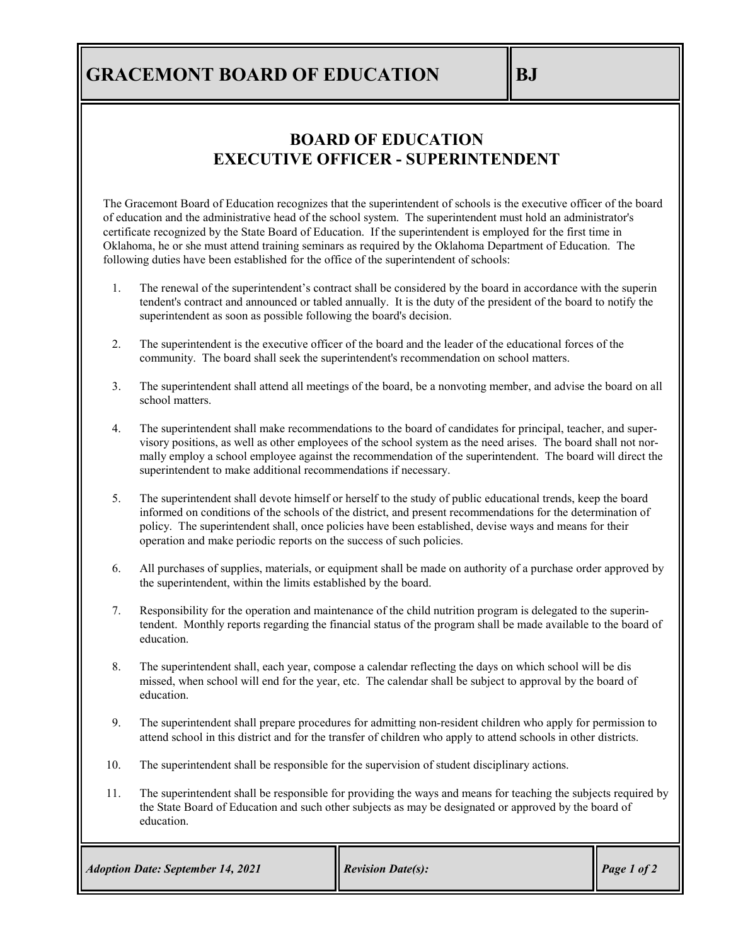# **GRACEMONT BOARD OF EDUCATION BJ**

### **BOARD OF EDUCATION EXECUTIVE OFFICER - SUPERINTENDENT**

The Gracemont Board of Education recognizes that the superintendent of schools is the executive officer of the board of education and the administrative head of the school system. The superintendent must hold an administrator's certificate recognized by the State Board of Education. If the superintendent is employed for the first time in Oklahoma, he or she must attend training seminars as required by the Oklahoma Department of Education. The following duties have been established for the office of the superintendent of schools:

- 1. The renewal of the superintendent's contract shall be considered by the board in accordance with the superin tendent's contract and announced or tabled annually. It is the duty of the president of the board to notify the superintendent as soon as possible following the board's decision.
- 2. The superintendent is the executive officer of the board and the leader of the educational forces of the community. The board shall seek the superintendent's recommendation on school matters.
- 3. The superintendent shall attend all meetings of the board, be a nonvoting member, and advise the board on all school matters.
- 4. The superintendent shall make recommendations to the board of candidates for principal, teacher, and supervisory positions, as well as other employees of the school system as the need arises. The board shall not normally employ a school employee against the recommendation of the superintendent. The board will direct the superintendent to make additional recommendations if necessary.
- 5. The superintendent shall devote himself or herself to the study of public educational trends, keep the board informed on conditions of the schools of the district, and present recommendations for the determination of policy. The superintendent shall, once policies have been established, devise ways and means for their operation and make periodic reports on the success of such policies.
- 6. All purchases of supplies, materials, or equipment shall be made on authority of a purchase order approved by the superintendent, within the limits established by the board.
- 7. Responsibility for the operation and maintenance of the child nutrition program is delegated to the superintendent. Monthly reports regarding the financial status of the program shall be made available to the board of education.
- 8. The superintendent shall, each year, compose a calendar reflecting the days on which school will be dis missed, when school will end for the year, etc. The calendar shall be subject to approval by the board of education.
- 9. The superintendent shall prepare procedures for admitting non-resident children who apply for permission to attend school in this district and for the transfer of children who apply to attend schools in other districts.
- 10. The superintendent shall be responsible for the supervision of student disciplinary actions.
- 11. The superintendent shall be responsible for providing the ways and means for teaching the subjects required by the State Board of Education and such other subjects as may be designated or approved by the board of education.

| <b>Adoption Date: September 14, 2021</b> | <b>Revision Date(s):</b> | Page 1 of 2 |
|------------------------------------------|--------------------------|-------------|
|------------------------------------------|--------------------------|-------------|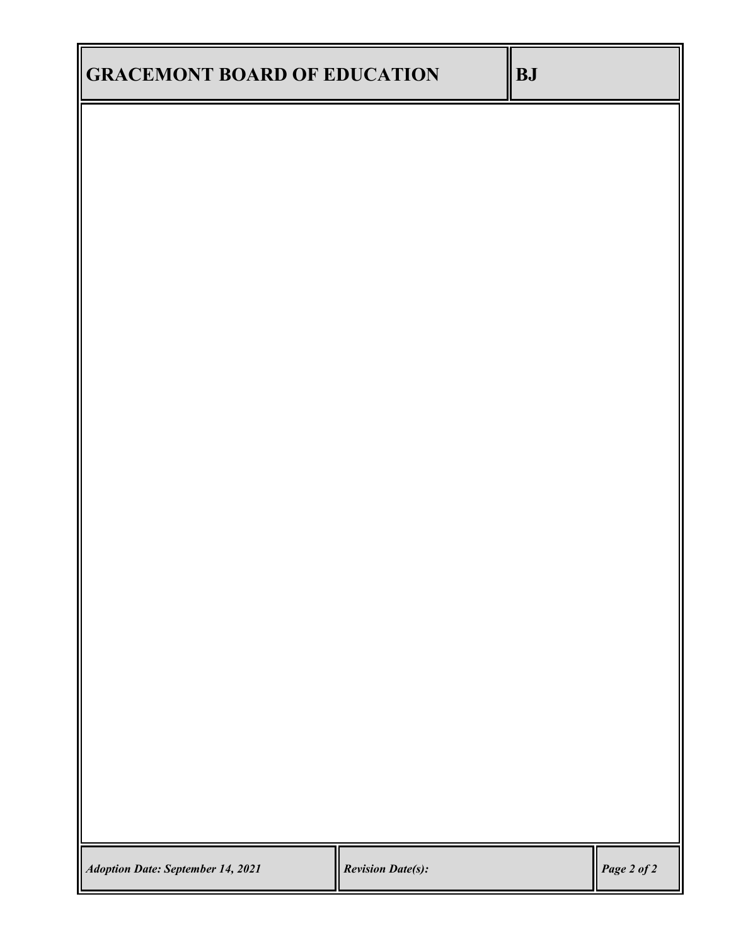| <b>GRACEMONT BOARD OF EDUCATION</b>      |                          | BJ |             |
|------------------------------------------|--------------------------|----|-------------|
|                                          |                          |    |             |
|                                          |                          |    |             |
|                                          |                          |    |             |
|                                          |                          |    |             |
|                                          |                          |    |             |
|                                          |                          |    |             |
|                                          |                          |    |             |
|                                          |                          |    |             |
|                                          |                          |    |             |
|                                          |                          |    |             |
|                                          |                          |    |             |
|                                          |                          |    |             |
|                                          |                          |    |             |
| <b>Adoption Date: September 14, 2021</b> | <b>Revision Date(s):</b> |    | Page 2 of 2 |